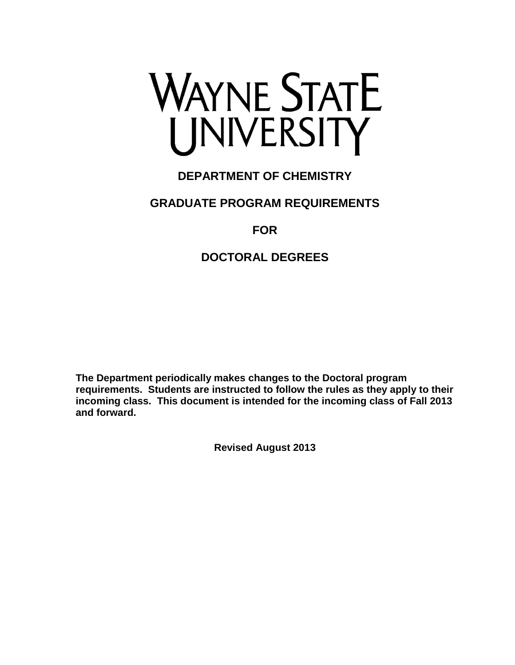

## **DEPARTMENT OF CHEMISTRY**

### **GRADUATE PROGRAM REQUIREMENTS**

### **FOR**

### **DOCTORAL DEGREES**

**The Department periodically makes changes to the Doctoral program requirements. Students are instructed to follow the rules as they apply to their incoming class. This document is intended for the incoming class of Fall 2013 and forward.** 

**Revised August 2013**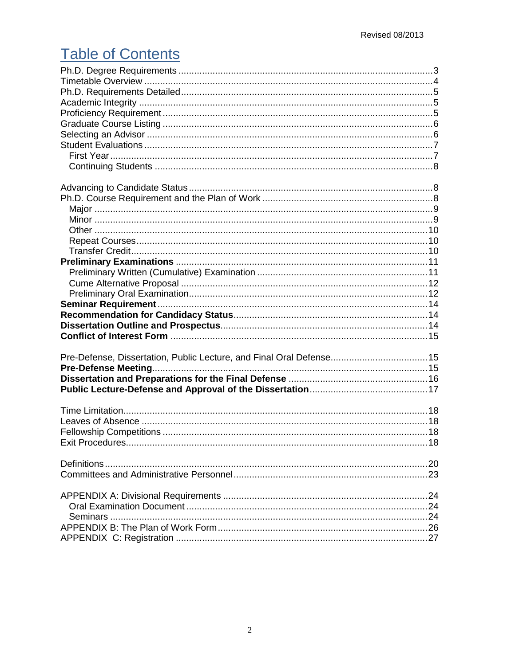## **Table of Contents**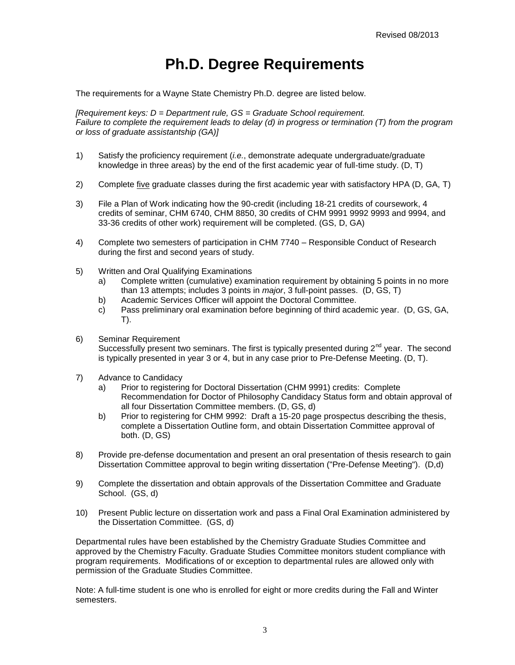## **Ph.D. Degree Requirements**

<span id="page-2-0"></span>The requirements for a Wayne State Chemistry Ph.D. degree are listed below.

*[Requirement keys: D = Department rule, GS = Graduate School requirement. Failure to complete the requirement leads to delay (d) in progress or termination (T) from the program or loss of graduate assistantship (GA)]*

- 1) Satisfy the proficiency requirement (*i.e.*, demonstrate adequate undergraduate/graduate knowledge in three areas) by the end of the first academic year of full-time study. (D, T)
- 2) Complete five graduate classes during the first academic year with satisfactory HPA (D, GA, T)
- 3) File a Plan of Work indicating how the 90-credit (including 18-21 credits of coursework, 4 credits of seminar, CHM 6740, CHM 8850, 30 credits of CHM 9991 9992 9993 and 9994, and 33-36 credits of other work) requirement will be completed. (GS, D, GA)
- 4) Complete two semesters of participation in CHM 7740 Responsible Conduct of Research during the first and second years of study.
- 5) Written and Oral Qualifying Examinations
	- a) Complete written (cumulative) examination requirement by obtaining 5 points in no more than 13 attempts; includes 3 points in *major*, 3 full-point passes. (D, GS, T)
	- b) Academic Services Officer will appoint the Doctoral Committee.
	- c) Pass preliminary oral examination before beginning of third academic year. (D, GS, GA, T).
- 6) Seminar Requirement Successfully present two seminars. The first is typically presented during  $2<sup>nd</sup>$  year. The second is typically presented in year 3 or 4, but in any case prior to Pre-Defense Meeting. (D, T).
- 7) Advance to Candidacy
	- a) Prior to registering for Doctoral Dissertation (CHM 9991) credits: Complete Recommendation for Doctor of Philosophy Candidacy Status form and obtain approval of all four Dissertation Committee members. (D, GS, d)
	- b) Prior to registering for CHM 9992: Draft a 15-20 page prospectus describing the thesis, complete a Dissertation Outline form, and obtain Dissertation Committee approval of both. (D, GS)
- 8) Provide pre-defense documentation and present an oral presentation of thesis research to gain Dissertation Committee approval to begin writing dissertation ("Pre-Defense Meeting"). (D,d)
- 9) Complete the dissertation and obtain approvals of the Dissertation Committee and Graduate School. (GS, d)
- 10) Present Public lecture on dissertation work and pass a Final Oral Examination administered by the Dissertation Committee. (GS, d)

Departmental rules have been established by the Chemistry Graduate Studies Committee and approved by the Chemistry Faculty. Graduate Studies Committee monitors student compliance with program requirements. Modifications of or exception to departmental rules are allowed only with permission of the Graduate Studies Committee.

Note: A full-time student is one who is enrolled for eight or more credits during the Fall and Winter semesters.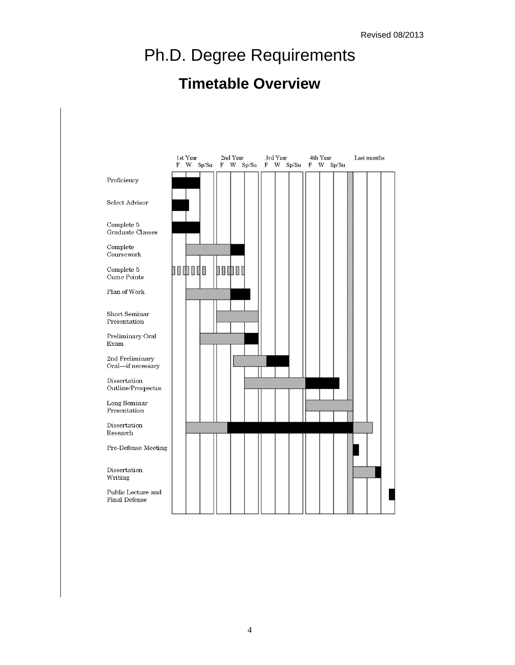# Ph.D. Degree Requirements

## **Timetable Overview**

<span id="page-3-0"></span>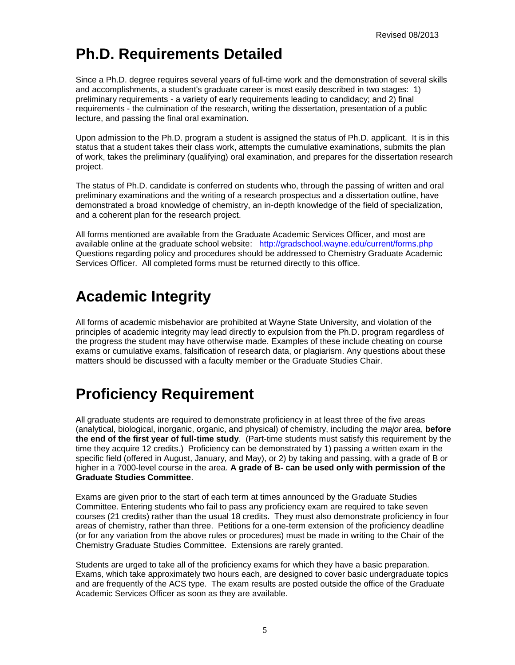## <span id="page-4-0"></span>**Ph.D. Requirements Detailed**

Since a Ph.D. degree requires several years of full-time work and the demonstration of several skills and accomplishments, a student's graduate career is most easily described in two stages: 1) preliminary requirements - a variety of early requirements leading to candidacy; and 2) final requirements - the culmination of the research, writing the dissertation, presentation of a public lecture, and passing the final oral examination.

Upon admission to the Ph.D. program a student is assigned the status of Ph.D. applicant. It is in this status that a student takes their class work, attempts the cumulative examinations, submits the plan of work, takes the preliminary (qualifying) oral examination, and prepares for the dissertation research project.

The status of Ph.D. candidate is conferred on students who, through the passing of written and oral preliminary examinations and the writing of a research prospectus and a dissertation outline, have demonstrated a broad knowledge of chemistry, an in-depth knowledge of the field of specialization, and a coherent plan for the research project.

All forms mentioned are available from the Graduate Academic Services Officer, and most are available online at the graduate school website: <http://gradschool.wayne.edu/current/forms.php> Questions regarding policy and procedures should be addressed to Chemistry Graduate Academic Services Officer. All completed forms must be returned directly to this office.

## <span id="page-4-1"></span>**Academic Integrity**

All forms of academic misbehavior are prohibited at Wayne State University, and violation of the principles of academic integrity may lead directly to expulsion from the Ph.D. program regardless of the progress the student may have otherwise made. Examples of these include cheating on course exams or cumulative exams, falsification of research data, or plagiarism. Any questions about these matters should be discussed with a faculty member or the Graduate Studies Chair.

## <span id="page-4-2"></span>**Proficiency Requirement**

All graduate students are required to demonstrate proficiency in at least three of the five areas (analytical, biological, inorganic, organic, and physical) of chemistry, including the *major* area, **before the end of the first year of full-time study**. (Part-time students must satisfy this requirement by the time they acquire 12 credits.) Proficiency can be demonstrated by 1) passing a written exam in the specific field (offered in August, January, and May), or 2) by taking and passing, with a grade of B or higher in a 7000-level course in the area. **A grade of B- can be used only with permission of the Graduate Studies Committee**.

Exams are given prior to the start of each term at times announced by the Graduate Studies Committee. Entering students who fail to pass any proficiency exam are required to take seven courses (21 credits) rather than the usual 18 credits. They must also demonstrate proficiency in four areas of chemistry, rather than three. Petitions for a one-term extension of the proficiency deadline (or for any variation from the above rules or procedures) must be made in writing to the Chair of the Chemistry Graduate Studies Committee. Extensions are rarely granted.

Students are urged to take all of the proficiency exams for which they have a basic preparation. Exams, which take approximately two hours each, are designed to cover basic undergraduate topics and are frequently of the ACS type. The exam results are posted outside the office of the Graduate Academic Services Officer as soon as they are available.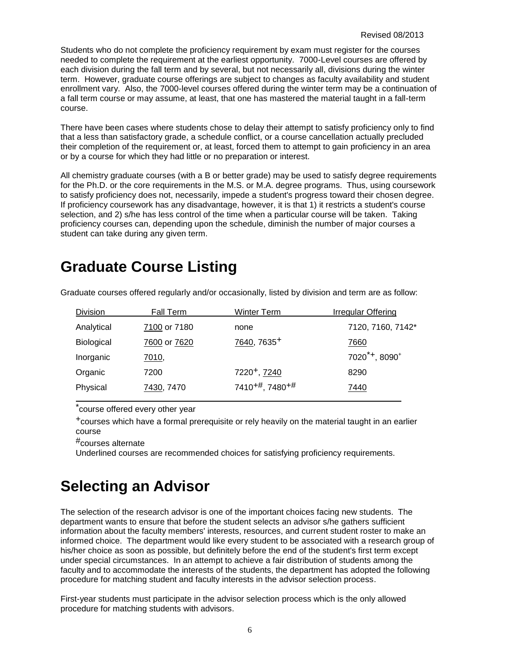Students who do not complete the proficiency requirement by exam must register for the courses needed to complete the requirement at the earliest opportunity. 7000-Level courses are offered by each division during the fall term and by several, but not necessarily all, divisions during the winter term. However, graduate course offerings are subject to changes as faculty availability and student enrollment vary. Also, the 7000-level courses offered during the winter term may be a continuation of a fall term course or may assume, at least, that one has mastered the material taught in a fall-term course.

There have been cases where students chose to delay their attempt to satisfy proficiency only to find that a less than satisfactory grade, a schedule conflict, or a course cancellation actually precluded their completion of the requirement or, at least, forced them to attempt to gain proficiency in an area or by a course for which they had little or no preparation or interest.

All chemistry graduate courses (with a B or better grade) may be used to satisfy degree requirements for the Ph.D. or the core requirements in the M.S. or M.A. degree programs. Thus, using coursework to satisfy proficiency does not, necessarily, impede a student's progress toward their chosen degree. If proficiency coursework has any disadvantage, however, it is that 1) it restricts a student's course selection, and 2) s/he has less control of the time when a particular course will be taken. Taking proficiency courses can, depending upon the schedule, diminish the number of major courses a student can take during any given term.

## <span id="page-5-0"></span>**Graduate Course Listing**

| <b>Division</b>   | Fall Term    | <b>Winter Term</b>                      | Irregular Offering                    |
|-------------------|--------------|-----------------------------------------|---------------------------------------|
| Analytical        | 7100 or 7180 | none                                    | 7120, 7160, 7142*                     |
| <b>Biological</b> | 7600 or 7620 | 7640, 7635 <sup>+</sup>                 | 7660                                  |
| Inorganic         | <u>7010,</u> |                                         | $7020^{\text{*}}$ , 8090 <sup>+</sup> |
| Organic           | 7200         | 7220+, 7240                             | 8290                                  |
| Physical          | 7430, 7470   | 7410 <sup>+#</sup> , 7480 <sup>+#</sup> | 7440                                  |
|                   |              |                                         |                                       |

Graduate courses offered regularly and/or occasionally, listed by division and term are as follow:

course offered every other year

+courses which have a formal prerequisite or rely heavily on the material taught in an earlier course

#courses alternate

Underlined courses are recommended choices for satisfying proficiency requirements.

## <span id="page-5-1"></span>**Selecting an Advisor**

The selection of the research advisor is one of the important choices facing new students. The department wants to ensure that before the student selects an advisor s/he gathers sufficient information about the faculty members' interests, resources, and current student roster to make an informed choice. The department would like every student to be associated with a research group of his/her choice as soon as possible, but definitely before the end of the student's first term except under special circumstances. In an attempt to achieve a fair distribution of students among the faculty and to accommodate the interests of the students, the department has adopted the following procedure for matching student and faculty interests in the advisor selection process.

First-year students must participate in the advisor selection process which is the only allowed procedure for matching students with advisors.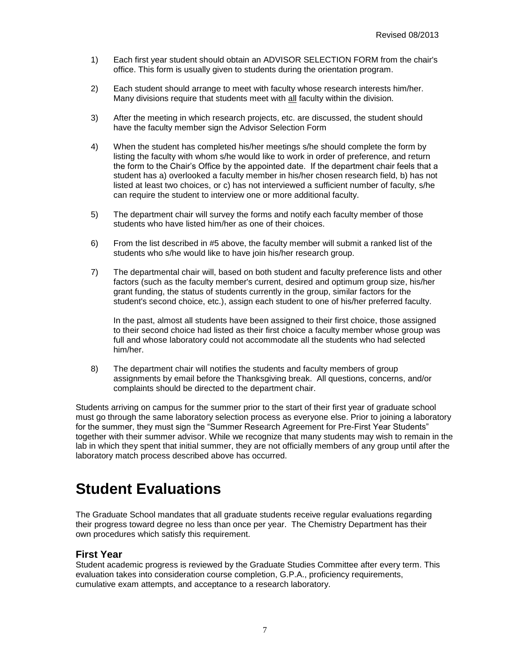- 1) Each first year student should obtain an ADVISOR SELECTION FORM from the chair's office. This form is usually given to students during the orientation program.
- 2) Each student should arrange to meet with faculty whose research interests him/her. Many divisions require that students meet with all faculty within the division.
- 3) After the meeting in which research projects, etc. are discussed, the student should have the faculty member sign the Advisor Selection Form
- 4) When the student has completed his/her meetings s/he should complete the form by listing the faculty with whom s/he would like to work in order of preference, and return the form to the Chair's Office by the appointed date. If the department chair feels that a student has a) overlooked a faculty member in his/her chosen research field, b) has not listed at least two choices, or c) has not interviewed a sufficient number of faculty, s/he can require the student to interview one or more additional faculty.
- 5) The department chair will survey the forms and notify each faculty member of those students who have listed him/her as one of their choices.
- 6) From the list described in #5 above, the faculty member will submit a ranked list of the students who s/he would like to have join his/her research group.
- 7) The departmental chair will, based on both student and faculty preference lists and other factors (such as the faculty member's current, desired and optimum group size, his/her grant funding, the status of students currently in the group, similar factors for the student's second choice, etc.), assign each student to one of his/her preferred faculty.

In the past, almost all students have been assigned to their first choice, those assigned to their second choice had listed as their first choice a faculty member whose group was full and whose laboratory could not accommodate all the students who had selected him/her.

8) The department chair will notifies the students and faculty members of group assignments by email before the Thanksgiving break. All questions, concerns, and/or complaints should be directed to the department chair.

Students arriving on campus for the summer prior to the start of their first year of graduate school must go through the same laboratory selection process as everyone else. Prior to joining a laboratory for the summer, they must sign the "Summer Research Agreement for Pre-First Year Students" together with their summer advisor. While we recognize that many students may wish to remain in the lab in which they spent that initial summer, they are not officially members of any group until after the laboratory match process described above has occurred.

## <span id="page-6-0"></span>**Student Evaluations**

The Graduate School mandates that all graduate students receive regular evaluations regarding their progress toward degree no less than once per year. The Chemistry Department has their own procedures which satisfy this requirement.

#### <span id="page-6-1"></span>**First Year**

Student academic progress is reviewed by the Graduate Studies Committee after every term. This evaluation takes into consideration course completion, G.P.A., proficiency requirements, cumulative exam attempts, and acceptance to a research laboratory.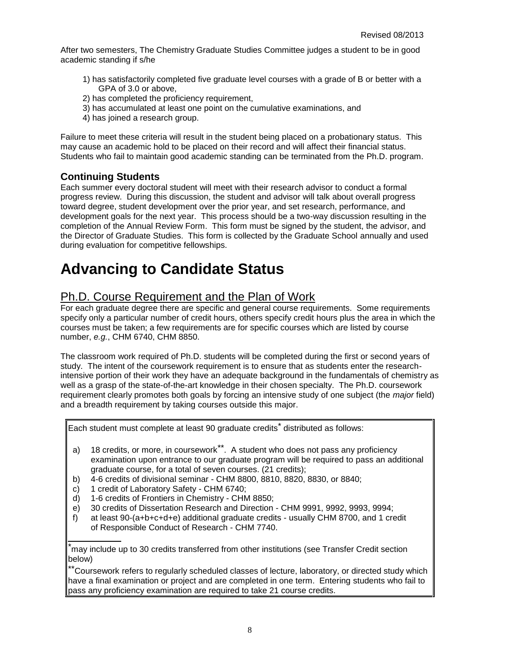After two semesters, The Chemistry Graduate Studies Committee judges a student to be in good academic standing if s/he

- 1) has satisfactorily completed five graduate level courses with a grade of B or better with a GPA of 3.0 or above,
- 2) has completed the proficiency requirement,
- 3) has accumulated at least one point on the cumulative examinations, and
- 4) has joined a research group.

Failure to meet these criteria will result in the student being placed on a probationary status. This may cause an academic hold to be placed on their record and will affect their financial status. Students who fail to maintain good academic standing can be terminated from the Ph.D. program.

### <span id="page-7-0"></span>**Continuing Students**

Each summer every doctoral student will meet with their research advisor to conduct a formal progress review. During this discussion, the student and advisor will talk about overall progress toward degree, student development over the prior year, and set research, performance, and development goals for the next year. This process should be a two-way discussion resulting in the completion of the Annual Review Form. This form must be signed by the student, the advisor, and the Director of Graduate Studies. This form is collected by the Graduate School annually and used during evaluation for competitive fellowships.

## <span id="page-7-1"></span>**Advancing to Candidate Status**

### <span id="page-7-2"></span>Ph.D. Course Requirement and the Plan of Work

For each graduate degree there are specific and general course requirements. Some requirements specify only a particular number of credit hours, others specify credit hours plus the area in which the courses must be taken; a few requirements are for specific courses which are listed by course number, *e.g.*, CHM 6740, CHM 8850.

The classroom work required of Ph.D. students will be completed during the first or second years of study. The intent of the coursework requirement is to ensure that as students enter the researchintensive portion of their work they have an adequate background in the fundamentals of chemistry as well as a grasp of the state-of-the-art knowledge in their chosen specialty. The Ph.D. coursework requirement clearly promotes both goals by forcing an intensive study of one subject (the *major* field) and a breadth requirement by taking courses outside this major.

Each student must complete at least 90 graduate credits<sup>\*</sup> distributed as follows:

- a) 18 credits, or more, in coursework\*\*. A student who does not pass any proficiency examination upon entrance to our graduate program will be required to pass an additional graduate course, for a total of seven courses. (21 credits);
- b) 4-6 credits of divisional seminar CHM 8800, 8810, 8820, 8830, or 8840;
- c) 1 credit of Laboratory Safety CHM 6740;
- d) 1-6 credits of Frontiers in Chemistry CHM 8850;
- e) 30 credits of Dissertation Research and Direction CHM 9991, 9992, 9993, 9994;
- f) at least 90-(a+b+c+d+e) additional graduate credits usually CHM 8700, and 1 credit of Responsible Conduct of Research - CHM 7740.

\*may include up to 30 credits transferred from other institutions (see Transfer Credit section below)

\*Coursework refers to regularly scheduled classes of lecture, laboratory, or directed study which have a final examination or project and are completed in one term. Entering students who fail to pass any proficiency examination are required to take 21 course credits.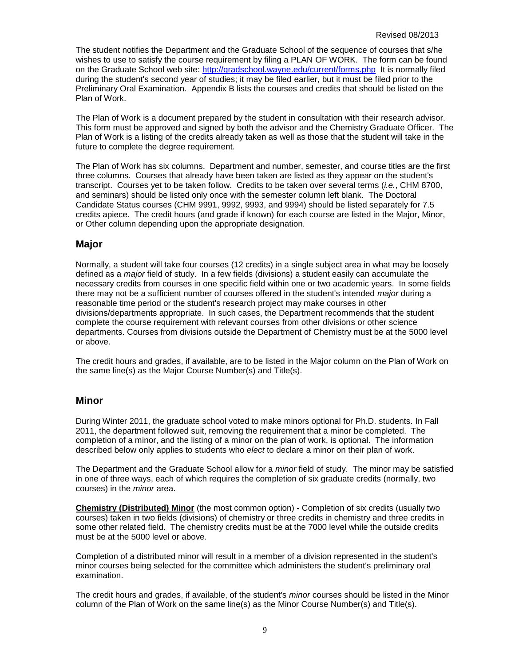The student notifies the Department and the Graduate School of the sequence of courses that s/he wishes to use to satisfy the course requirement by filing a PLAN OF WORK. The form can be found on the Graduate School web site:<http://gradschool.wayne.edu/current/forms.php> It is normally filed during the student's second year of studies; it may be filed earlier, but it must be filed prior to the Preliminary Oral Examination. Appendix B lists the courses and credits that should be listed on the Plan of Work.

The Plan of Work is a document prepared by the student in consultation with their research advisor. This form must be approved and signed by both the advisor and the Chemistry Graduate Officer. The Plan of Work is a listing of the credits already taken as well as those that the student will take in the future to complete the degree requirement.

The Plan of Work has six columns. Department and number, semester, and course titles are the first three columns. Courses that already have been taken are listed as they appear on the student's transcript. Courses yet to be taken follow. Credits to be taken over several terms (*i.e.*, CHM 8700, and seminars) should be listed only once with the semester column left blank. The Doctoral Candidate Status courses (CHM 9991, 9992, 9993, and 9994) should be listed separately for 7.5 credits apiece. The credit hours (and grade if known) for each course are listed in the Major, Minor, or Other column depending upon the appropriate designation.

#### <span id="page-8-0"></span>**Major**

Normally, a student will take four courses (12 credits) in a single subject area in what may be loosely defined as a *major* field of study. In a few fields (divisions) a student easily can accumulate the necessary credits from courses in one specific field within one or two academic years. In some fields there may not be a sufficient number of courses offered in the student's intended *major* during a reasonable time period or the student's research project may make courses in other divisions/departments appropriate. In such cases, the Department recommends that the student complete the course requirement with relevant courses from other divisions or other science departments. Courses from divisions outside the Department of Chemistry must be at the 5000 level or above.

The credit hours and grades, if available, are to be listed in the Major column on the Plan of Work on the same line(s) as the Major Course Number(s) and Title(s).

#### <span id="page-8-1"></span>**Minor**

During Winter 2011, the graduate school voted to make minors optional for Ph.D. students. In Fall 2011, the department followed suit, removing the requirement that a minor be completed. The completion of a minor, and the listing of a minor on the plan of work, is optional. The information described below only applies to students who *elect* to declare a minor on their plan of work.

The Department and the Graduate School allow for a *minor* field of study. The minor may be satisfied in one of three ways, each of which requires the completion of six graduate credits (normally, two courses) in the *minor* area.

**Chemistry (Distributed) Minor** (the most common option) **-** Completion of six credits (usually two courses) taken in two fields (divisions) of chemistry or three credits in chemistry and three credits in some other related field. The chemistry credits must be at the 7000 level while the outside credits must be at the 5000 level or above.

Completion of a distributed minor will result in a member of a division represented in the student's minor courses being selected for the committee which administers the student's preliminary oral examination.

The credit hours and grades, if available, of the student's *minor* courses should be listed in the Minor column of the Plan of Work on the same line(s) as the Minor Course Number(s) and Title(s).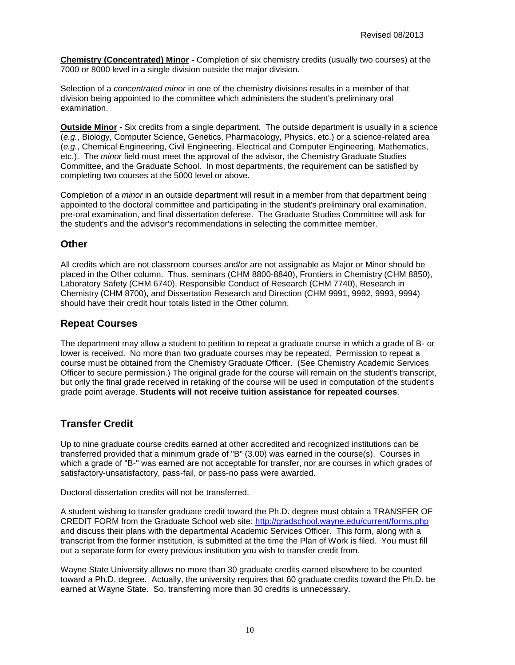**Chemistry (Concentrated) Minor -** Completion of six chemistry credits (usually two courses) at the 7000 or 8000 level in a single division outside the major division.

Selection of a *concentrated minor* in one of the chemistry divisions results in a member of that division being appointed to the committee which administers the student's preliminary oral examination.

**Outside Minor -** Six credits from a single department. The outside department is usually in a science (*e.g.*, Biology, Computer Science, Genetics, Pharmacology, Physics, etc.) or a science-related area (*e.g.*, Chemical Engineering, Civil Engineering, Electrical and Computer Engineering, Mathematics, etc.). The *minor* field must meet the approval of the advisor, the Chemistry Graduate Studies Committee, and the Graduate School. In most departments, the requirement can be satisfied by completing two courses at the 5000 level or above.

Completion of a *minor* in an outside department will result in a member from that department being appointed to the doctoral committee and participating in the student's preliminary oral examination, pre-oral examination, and final dissertation defense. The Graduate Studies Committee will ask for the student's and the advisor's recommendations in selecting the committee member.

#### <span id="page-9-0"></span>**Other**

All credits which are not classroom courses and/or are not assignable as Major or Minor should be placed in the Other column. Thus, seminars (CHM 8800-8840), Frontiers in Chemistry (CHM 8850), Laboratory Safety (CHM 6740), Responsible Conduct of Research (CHM 7740), Research in Chemistry (CHM 8700), and Dissertation Research and Direction (CHM 9991, 9992, 9993, 9994) should have their credit hour totals listed in the Other column.

#### <span id="page-9-1"></span>**Repeat Courses**

The department may allow a student to petition to repeat a graduate course in which a grade of B- or lower is received. No more than two graduate courses may be repeated. Permission to repeat a course must be obtained from the Chemistry Graduate Officer. (See Chemistry Academic Services Officer to secure permission.) The original grade for the course will remain on the student's transcript, but only the final grade received in retaking of the course will be used in computation of the student's grade point average. **Students will not receive tuition assistance for repeated courses**.

### <span id="page-9-2"></span>**Transfer Credit**

Up to nine graduate course credits earned at other accredited and recognized institutions can be transferred provided that a minimum grade of "B" (3.00) was earned in the course(s). Courses in which a grade of "B-" was earned are not acceptable for transfer, nor are courses in which grades of satisfactory-unsatisfactory, pass-fail, or pass-no pass were awarded.

Doctoral dissertation credits will not be transferred.

A student wishing to transfer graduate credit toward the Ph.D. degree must obtain a TRANSFER OF CREDIT FORM from the Graduate School web site:<http://gradschool.wayne.edu/current/forms.php> and discuss their plans with the departmental Academic Services Officer. This form, along with a transcript from the former institution, is submitted at the time the Plan of Work is filed. You must fill out a separate form for every previous institution you wish to transfer credit from.

Wayne State University allows no more than 30 graduate credits earned elsewhere to be counted toward a Ph.D. degree. Actually, the university requires that 60 graduate credits toward the Ph.D. be earned at Wayne State. So, transferring more than 30 credits is unnecessary.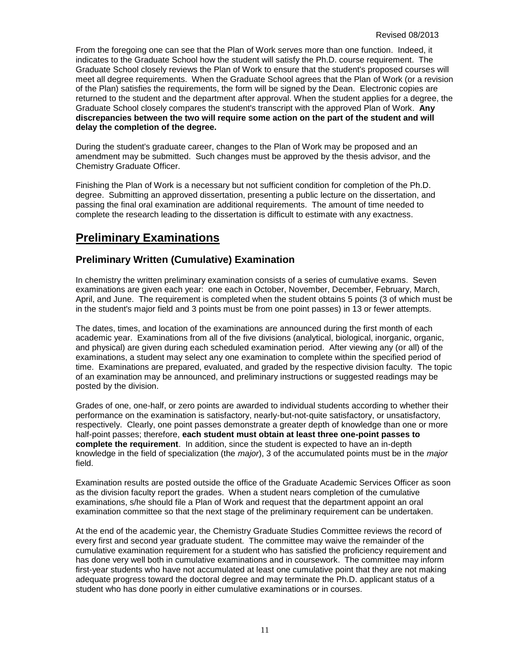From the foregoing one can see that the Plan of Work serves more than one function. Indeed, it indicates to the Graduate School how the student will satisfy the Ph.D. course requirement. The Graduate School closely reviews the Plan of Work to ensure that the student's proposed courses will meet all degree requirements. When the Graduate School agrees that the Plan of Work (or a revision of the Plan) satisfies the requirements, the form will be signed by the Dean. Electronic copies are returned to the student and the department after approval. When the student applies for a degree, the Graduate School closely compares the student's transcript with the approved Plan of Work. **Any discrepancies between the two will require some action on the part of the student and will delay the completion of the degree.**

During the student's graduate career, changes to the Plan of Work may be proposed and an amendment may be submitted. Such changes must be approved by the thesis advisor, and the Chemistry Graduate Officer.

Finishing the Plan of Work is a necessary but not sufficient condition for completion of the Ph.D. degree. Submitting an approved dissertation, presenting a public lecture on the dissertation, and passing the final oral examination are additional requirements. The amount of time needed to complete the research leading to the dissertation is difficult to estimate with any exactness.

### <span id="page-10-0"></span>**Preliminary Examinations**

#### <span id="page-10-1"></span>**Preliminary Written (Cumulative) Examination**

In chemistry the written preliminary examination consists of a series of cumulative exams. Seven examinations are given each year: one each in October, November, December, February, March, April, and June. The requirement is completed when the student obtains 5 points (3 of which must be in the student's major field and 3 points must be from one point passes) in 13 or fewer attempts.

The dates, times, and location of the examinations are announced during the first month of each academic year. Examinations from all of the five divisions (analytical, biological, inorganic, organic, and physical) are given during each scheduled examination period. After viewing any (or all) of the examinations, a student may select any one examination to complete within the specified period of time. Examinations are prepared, evaluated, and graded by the respective division faculty. The topic of an examination may be announced, and preliminary instructions or suggested readings may be posted by the division.

Grades of one, one-half, or zero points are awarded to individual students according to whether their performance on the examination is satisfactory, nearly-but-not-quite satisfactory, or unsatisfactory, respectively. Clearly, one point passes demonstrate a greater depth of knowledge than one or more half-point passes; therefore, **each student must obtain at least three one-point passes to complete the requirement**. In addition, since the student is expected to have an in-depth knowledge in the field of specialization (the *major*), 3 of the accumulated points must be in the *major* field.

Examination results are posted outside the office of the Graduate Academic Services Officer as soon as the division faculty report the grades. When a student nears completion of the cumulative examinations, s/he should file a Plan of Work and request that the department appoint an oral examination committee so that the next stage of the preliminary requirement can be undertaken.

At the end of the academic year, the Chemistry Graduate Studies Committee reviews the record of every first and second year graduate student. The committee may waive the remainder of the cumulative examination requirement for a student who has satisfied the proficiency requirement and has done very well both in cumulative examinations and in coursework. The committee may inform first-year students who have not accumulated at least one cumulative point that they are not making adequate progress toward the doctoral degree and may terminate the Ph.D. applicant status of a student who has done poorly in either cumulative examinations or in courses.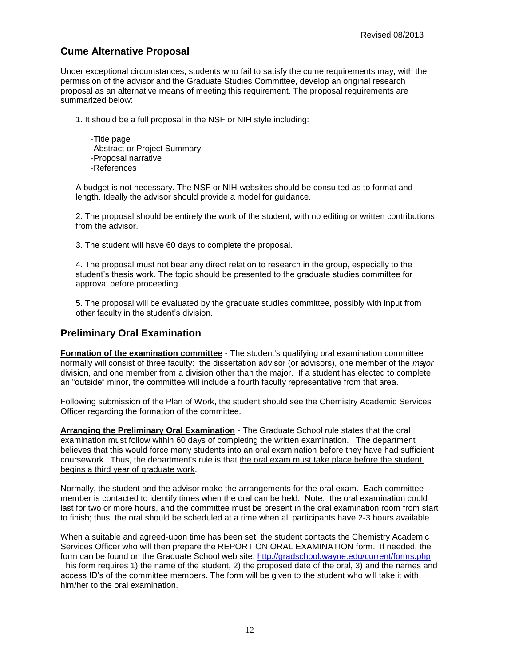### <span id="page-11-0"></span>**Cume Alternative Proposal**

Under exceptional circumstances, students who fail to satisfy the cume requirements may, with the permission of the advisor and the Graduate Studies Committee, develop an original research proposal as an alternative means of meeting this requirement. The proposal requirements are summarized below:

1. It should be a full proposal in the NSF or NIH style including:

-Title page -Abstract or Project Summary -Proposal narrative -References

A budget is not necessary. The NSF or NIH websites should be consulted as to format and length. Ideally the advisor should provide a model for guidance.

2. The proposal should be entirely the work of the student, with no editing or written contributions from the advisor.

3. The student will have 60 days to complete the proposal.

4. The proposal must not bear any direct relation to research in the group, especially to the student's thesis work. The topic should be presented to the graduate studies committee for approval before proceeding.

5. The proposal will be evaluated by the graduate studies committee, possibly with input from other faculty in the student's division.

#### <span id="page-11-1"></span>**Preliminary Oral Examination**

**Formation of the examination committee** - The student's qualifying oral examination committee normally will consist of three faculty: the dissertation advisor (or advisors), one member of the *major* division, and one member from a division other than the major. If a student has elected to complete an "outside" minor, the committee will include a fourth faculty representative from that area.

Following submission of the Plan of Work, the student should see the Chemistry Academic Services Officer regarding the formation of the committee.

**Arranging the Preliminary Oral Examination** - The Graduate School rule states that the oral examination must follow within 60 days of completing the written examination. The department believes that this would force many students into an oral examination before they have had sufficient coursework. Thus, the department's rule is that the oral exam must take place before the student begins a third year of graduate work.

Normally, the student and the advisor make the arrangements for the oral exam. Each committee member is contacted to identify times when the oral can be held. Note: the oral examination could last for two or more hours, and the committee must be present in the oral examination room from start to finish; thus, the oral should be scheduled at a time when all participants have 2-3 hours available.

When a suitable and agreed-upon time has been set, the student contacts the Chemistry Academic Services Officer who will then prepare the REPORT ON ORAL EXAMINATION form. If needed, the form can be found on the Graduate School web site:<http://gradschool.wayne.edu/current/forms.php> This form requires 1) the name of the student, 2) the proposed date of the oral, 3) and the names and access ID's of the committee members. The form will be given to the student who will take it with him/her to the oral examination.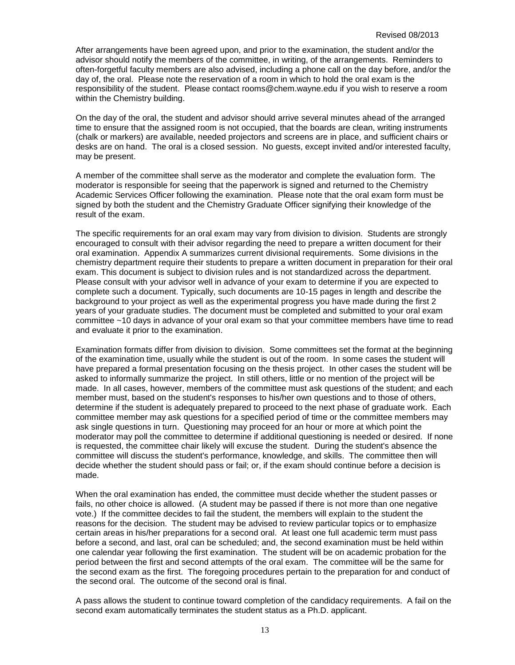After arrangements have been agreed upon, and prior to the examination, the student and/or the advisor should notify the members of the committee, in writing, of the arrangements. Reminders to often-forgetful faculty members are also advised, including a phone call on the day before, and/or the day of, the oral. Please note the reservation of a room in which to hold the oral exam is the responsibility of the student. Please contact rooms@chem.wayne.edu if you wish to reserve a room within the Chemistry building.

On the day of the oral, the student and advisor should arrive several minutes ahead of the arranged time to ensure that the assigned room is not occupied, that the boards are clean, writing instruments (chalk or markers) are available, needed projectors and screens are in place, and sufficient chairs or desks are on hand. The oral is a closed session. No guests, except invited and/or interested faculty, may be present.

A member of the committee shall serve as the moderator and complete the evaluation form. The moderator is responsible for seeing that the paperwork is signed and returned to the Chemistry Academic Services Officer following the examination. Please note that the oral exam form must be signed by both the student and the Chemistry Graduate Officer signifying their knowledge of the result of the exam.

The specific requirements for an oral exam may vary from division to division. Students are strongly encouraged to consult with their advisor regarding the need to prepare a written document for their oral examination. Appendix A summarizes current divisional requirements. Some divisions in the chemistry department require their students to prepare a written document in preparation for their oral exam. This document is subject to division rules and is not standardized across the department. Please consult with your advisor well in advance of your exam to determine if you are expected to complete such a document. Typically, such documents are 10-15 pages in length and describe the background to your project as well as the experimental progress you have made during the first 2 years of your graduate studies. The document must be completed and submitted to your oral exam committee ~10 days in advance of your oral exam so that your committee members have time to read and evaluate it prior to the examination.

Examination formats differ from division to division. Some committees set the format at the beginning of the examination time, usually while the student is out of the room. In some cases the student will have prepared a formal presentation focusing on the thesis project. In other cases the student will be asked to informally summarize the project. In still others, little or no mention of the project will be made. In all cases, however, members of the committee must ask questions of the student; and each member must, based on the student's responses to his/her own questions and to those of others, determine if the student is adequately prepared to proceed to the next phase of graduate work. Each committee member may ask questions for a specified period of time or the committee members may ask single questions in turn. Questioning may proceed for an hour or more at which point the moderator may poll the committee to determine if additional questioning is needed or desired. If none is requested, the committee chair likely will excuse the student. During the student's absence the committee will discuss the student's performance, knowledge, and skills. The committee then will decide whether the student should pass or fail; or, if the exam should continue before a decision is made.

When the oral examination has ended, the committee must decide whether the student passes or fails, no other choice is allowed. (A student may be passed if there is not more than one negative vote.) If the committee decides to fail the student, the members will explain to the student the reasons for the decision. The student may be advised to review particular topics or to emphasize certain areas in his/her preparations for a second oral. At least one full academic term must pass before a second, and last, oral can be scheduled; and, the second examination must be held within one calendar year following the first examination. The student will be on academic probation for the period between the first and second attempts of the oral exam. The committee will be the same for the second exam as the first. The foregoing procedures pertain to the preparation for and conduct of the second oral. The outcome of the second oral is final.

A pass allows the student to continue toward completion of the candidacy requirements. A fail on the second exam automatically terminates the student status as a Ph.D. applicant.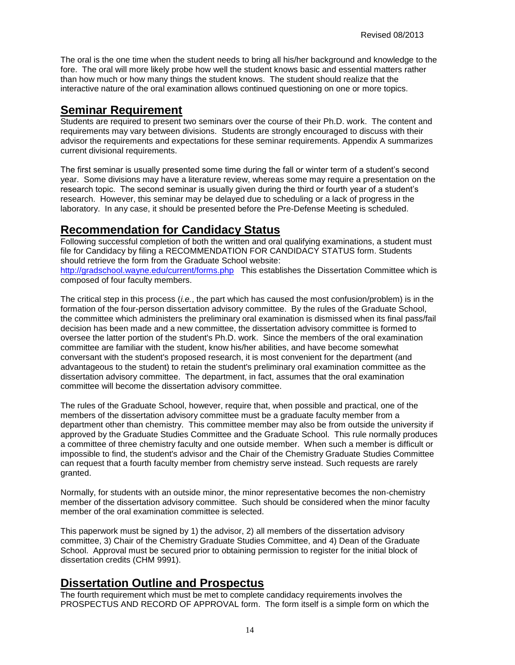The oral is the one time when the student needs to bring all his/her background and knowledge to the fore. The oral will more likely probe how well the student knows basic and essential matters rather than how much or how many things the student knows. The student should realize that the interactive nature of the oral examination allows continued questioning on one or more topics.

### <span id="page-13-0"></span>**Seminar Requirement**

Students are required to present two seminars over the course of their Ph.D. work. The content and requirements may vary between divisions. Students are strongly encouraged to discuss with their advisor the requirements and expectations for these seminar requirements. Appendix A summarizes current divisional requirements.

The first seminar is usually presented some time during the fall or winter term of a student's second year. Some divisions may have a literature review, whereas some may require a presentation on the research topic. The second seminar is usually given during the third or fourth year of a student's research. However, this seminar may be delayed due to scheduling or a lack of progress in the laboratory. In any case, it should be presented before the Pre-Defense Meeting is scheduled.

### <span id="page-13-1"></span>**Recommendation for Candidacy Status**

Following successful completion of both the written and oral qualifying examinations, a student must file for Candidacy by filing a RECOMMENDATION FOR CANDIDACY STATUS form. Students should retrieve the form from the Graduate School website: <http://gradschool.wayne.edu/current/forms.php> This establishes the Dissertation Committee which is

composed of four faculty members.

The critical step in this process (*i.e.*, the part which has caused the most confusion/problem) is in the formation of the four-person dissertation advisory committee. By the rules of the Graduate School, the committee which administers the preliminary oral examination is dismissed when its final pass/fail decision has been made and a new committee, the dissertation advisory committee is formed to oversee the latter portion of the student's Ph.D. work. Since the members of the oral examination committee are familiar with the student, know his/her abilities, and have become somewhat conversant with the student's proposed research, it is most convenient for the department (and advantageous to the student) to retain the student's preliminary oral examination committee as the dissertation advisory committee. The department, in fact, assumes that the oral examination committee will become the dissertation advisory committee.

The rules of the Graduate School, however, require that, when possible and practical, one of the members of the dissertation advisory committee must be a graduate faculty member from a department other than chemistry. This committee member may also be from outside the university if approved by the Graduate Studies Committee and the Graduate School. This rule normally produces a committee of three chemistry faculty and one outside member. When such a member is difficult or impossible to find, the student's advisor and the Chair of the Chemistry Graduate Studies Committee can request that a fourth faculty member from chemistry serve instead. Such requests are rarely granted.

Normally, for students with an outside minor, the minor representative becomes the non-chemistry member of the dissertation advisory committee. Such should be considered when the minor faculty member of the oral examination committee is selected.

This paperwork must be signed by 1) the advisor, 2) all members of the dissertation advisory committee, 3) Chair of the Chemistry Graduate Studies Committee, and 4) Dean of the Graduate School. Approval must be secured prior to obtaining permission to register for the initial block of dissertation credits (CHM 9991).

### <span id="page-13-2"></span>**Dissertation Outline and Prospectus**

The fourth requirement which must be met to complete candidacy requirements involves the PROSPECTUS AND RECORD OF APPROVAL form. The form itself is a simple form on which the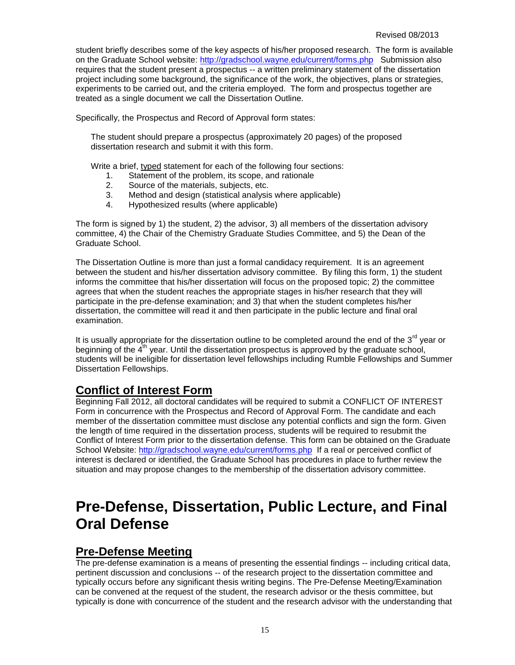student briefly describes some of the key aspects of his/her proposed research. The form is available on the Graduate School website:<http://gradschool.wayne.edu/current/forms.php> Submission also requires that the student present a prospectus -- a written preliminary statement of the dissertation project including some background, the significance of the work, the objectives, plans or strategies, experiments to be carried out, and the criteria employed. The form and prospectus together are treated as a single document we call the Dissertation Outline.

Specifically, the Prospectus and Record of Approval form states:

The student should prepare a prospectus (approximately 20 pages) of the proposed dissertation research and submit it with this form.

Write a brief, typed statement for each of the following four sections:

- 1. Statement of the problem, its scope, and rationale<br>2. Source of the materials, subjects, etc.
- 2. Source of the materials, subjects, etc.<br>3. Method and design (statistical analysis
- Method and design (statistical analysis where applicable)
- 4. Hypothesized results (where applicable)

The form is signed by 1) the student, 2) the advisor, 3) all members of the dissertation advisory committee, 4) the Chair of the Chemistry Graduate Studies Committee, and 5) the Dean of the Graduate School.

The Dissertation Outline is more than just a formal candidacy requirement. It is an agreement between the student and his/her dissertation advisory committee. By filing this form, 1) the student informs the committee that his/her dissertation will focus on the proposed topic; 2) the committee agrees that when the student reaches the appropriate stages in his/her research that they will participate in the pre-defense examination; and 3) that when the student completes his/her dissertation, the committee will read it and then participate in the public lecture and final oral examination.

It is usually appropriate for the dissertation outline to be completed around the end of the  $3<sup>rd</sup>$  year or beginning of the  $4<sup>th</sup>$  year. Until the dissertation prospectus is approved by the graduate school, students will be ineligible for dissertation level fellowships including Rumble Fellowships and Summer Dissertation Fellowships.

### <span id="page-14-0"></span>**Conflict of Interest Form**

Beginning Fall 2012, all doctoral candidates will be required to submit a CONFLICT OF INTEREST Form in concurrence with the Prospectus and Record of Approval Form. The candidate and each member of the dissertation committee must disclose any potential conflicts and sign the form. Given the length of time required in the dissertation process, students will be required to resubmit the Conflict of Interest Form prior to the dissertation defense. This form can be obtained on the Graduate School Website:<http://gradschool.wayne.edu/current/forms.php> If a real or perceived conflict of interest is declared or identified, the Graduate School has procedures in place to further review the situation and may propose changes to the membership of the dissertation advisory committee.

## <span id="page-14-1"></span>**Pre-Defense, Dissertation, Public Lecture, and Final Oral Defense**

### <span id="page-14-2"></span>**Pre-Defense Meeting**

The pre-defense examination is a means of presenting the essential findings -- including critical data, pertinent discussion and conclusions -- of the research project to the dissertation committee and typically occurs before any significant thesis writing begins. The Pre-Defense Meeting/Examination can be convened at the request of the student, the research advisor or the thesis committee, but typically is done with concurrence of the student and the research advisor with the understanding that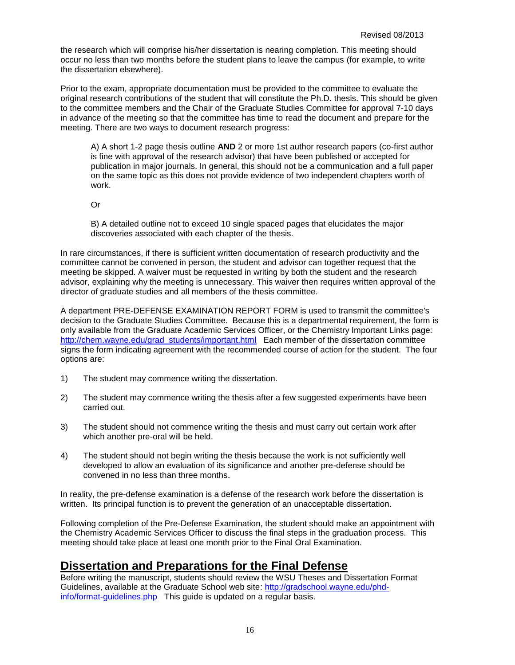the research which will comprise his/her dissertation is nearing completion. This meeting should occur no less than two months before the student plans to leave the campus (for example, to write the dissertation elsewhere).

Prior to the exam, appropriate documentation must be provided to the committee to evaluate the original research contributions of the student that will constitute the Ph.D. thesis. This should be given to the committee members and the Chair of the Graduate Studies Committee for approval 7-10 days in advance of the meeting so that the committee has time to read the document and prepare for the meeting. There are two ways to document research progress:

A) A short 1-2 page thesis outline **AND** 2 or more 1st author research papers (co-first author is fine with approval of the research advisor) that have been published or accepted for publication in major journals. In general, this should not be a communication and a full paper on the same topic as this does not provide evidence of two independent chapters worth of work.

Or

B) A detailed outline not to exceed 10 single spaced pages that elucidates the major discoveries associated with each chapter of the thesis.

In rare circumstances, if there is sufficient written documentation of research productivity and the committee cannot be convened in person, the student and advisor can together request that the meeting be skipped. A waiver must be requested in writing by both the student and the research advisor, explaining why the meeting is unnecessary. This waiver then requires written approval of the director of graduate studies and all members of the thesis committee.

A department PRE-DEFENSE EXAMINATION REPORT FORM is used to transmit the committee's decision to the Graduate Studies Committee. Because this is a departmental requirement, the form is only available from the Graduate Academic Services Officer, or the Chemistry Important Links page: [http://chem.wayne.edu/grad\\_students/important.html](http://chem.wayne.edu/grad_students/important.html) Each member of the dissertation committee signs the form indicating agreement with the recommended course of action for the student. The four options are:

- 1) The student may commence writing the dissertation.
- 2) The student may commence writing the thesis after a few suggested experiments have been carried out.
- 3) The student should not commence writing the thesis and must carry out certain work after which another pre-oral will be held.
- 4) The student should not begin writing the thesis because the work is not sufficiently well developed to allow an evaluation of its significance and another pre-defense should be convened in no less than three months.

In reality, the pre-defense examination is a defense of the research work before the dissertation is written. Its principal function is to prevent the generation of an unacceptable dissertation.

Following completion of the Pre-Defense Examination, the student should make an appointment with the Chemistry Academic Services Officer to discuss the final steps in the graduation process. This meeting should take place at least one month prior to the Final Oral Examination.

### <span id="page-15-0"></span>**Dissertation and Preparations for the Final Defense**

Before writing the manuscript, students should review the WSU Theses and Dissertation Format Guidelines, available at the Graduate School web site: [http://gradschool.wayne.edu/phd](http://gradschool.wayne.edu/phd-info/format-guidelines.php)[info/format-guidelines.php](http://gradschool.wayne.edu/phd-info/format-guidelines.php) This guide is updated on a regular basis.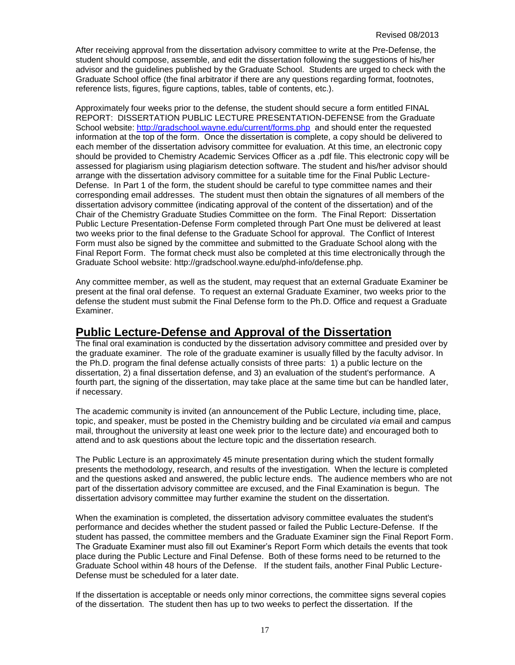After receiving approval from the dissertation advisory committee to write at the Pre-Defense, the student should compose, assemble, and edit the dissertation following the suggestions of his/her advisor and the guidelines published by the Graduate School. Students are urged to check with the Graduate School office (the final arbitrator if there are any questions regarding format, footnotes, reference lists, figures, figure captions, tables, table of contents, etc.).

Approximately four weeks prior to the defense, the student should secure a form entitled FINAL REPORT: DISSERTATION PUBLIC LECTURE PRESENTATION-DEFENSE from the Graduate School website:<http://gradschool.wayne.edu/current/forms.php> and should enter the requested information at the top of the form. Once the dissertation is complete, a copy should be delivered to each member of the dissertation advisory committee for evaluation. At this time, an electronic copy should be provided to Chemistry Academic Services Officer as a .pdf file. This electronic copy will be assessed for plagiarism using plagiarism detection software. The student and his/her advisor should arrange with the dissertation advisory committee for a suitable time for the Final Public Lecture-Defense. In Part 1 of the form, the student should be careful to type committee names and their corresponding email addresses. The student must then obtain the signatures of all members of the dissertation advisory committee (indicating approval of the content of the dissertation) and of the Chair of the Chemistry Graduate Studies Committee on the form. The Final Report: Dissertation Public Lecture Presentation-Defense Form completed through Part One must be delivered at least two weeks prior to the final defense to the Graduate School for approval. The Conflict of Interest Form must also be signed by the committee and submitted to the Graduate School along with the Final Report Form. The format check must also be completed at this time electronically through the Graduate School website: http://gradschool.wayne.edu/phd-info/defense.php.

Any committee member, as well as the student, may request that an external Graduate Examiner be present at the final oral defense. To request an external Graduate Examiner, two weeks prior to the defense the student must submit the Final Defense form to the Ph.D. Office and request a Graduate Examiner.

### <span id="page-16-0"></span>**Public Lecture-Defense and Approval of the Dissertation**

The final oral examination is conducted by the dissertation advisory committee and presided over by the graduate examiner. The role of the graduate examiner is usually filled by the faculty advisor. In the Ph.D. program the final defense actually consists of three parts: 1) a public lecture on the dissertation, 2) a final dissertation defense, and 3) an evaluation of the student's performance. A fourth part, the signing of the dissertation, may take place at the same time but can be handled later, if necessary.

The academic community is invited (an announcement of the Public Lecture, including time, place, topic, and speaker, must be posted in the Chemistry building and be circulated *via* email and campus mail, throughout the university at least one week prior to the lecture date) and encouraged both to attend and to ask questions about the lecture topic and the dissertation research.

The Public Lecture is an approximately 45 minute presentation during which the student formally presents the methodology, research, and results of the investigation. When the lecture is completed and the questions asked and answered, the public lecture ends. The audience members who are not part of the dissertation advisory committee are excused, and the Final Examination is begun. The dissertation advisory committee may further examine the student on the dissertation.

When the examination is completed, the dissertation advisory committee evaluates the student's performance and decides whether the student passed or failed the Public Lecture-Defense. If the student has passed, the committee members and the Graduate Examiner sign the Final Report Form. The Graduate Examiner must also fill out Examiner's Report Form which details the events that took place during the Public Lecture and Final Defense. Both of these forms need to be returned to the Graduate School within 48 hours of the Defense. If the student fails, another Final Public Lecture-Defense must be scheduled for a later date.

If the dissertation is acceptable or needs only minor corrections, the committee signs several copies of the dissertation. The student then has up to two weeks to perfect the dissertation. If the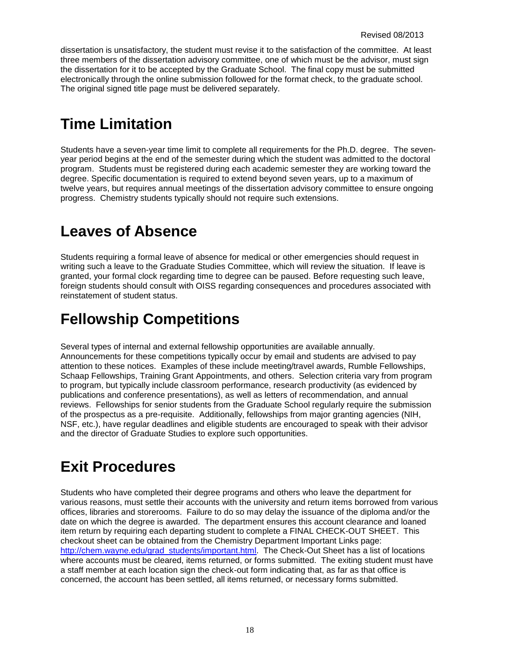dissertation is unsatisfactory, the student must revise it to the satisfaction of the committee. At least three members of the dissertation advisory committee, one of which must be the advisor, must sign the dissertation for it to be accepted by the Graduate School. The final copy must be submitted electronically through the online submission followed for the format check, to the graduate school. The original signed title page must be delivered separately.

## <span id="page-17-0"></span>**Time Limitation**

Students have a seven-year time limit to complete all requirements for the Ph.D. degree. The sevenyear period begins at the end of the semester during which the student was admitted to the doctoral program. Students must be registered during each academic semester they are working toward the degree. Specific documentation is required to extend beyond seven years, up to a maximum of twelve years, but requires annual meetings of the dissertation advisory committee to ensure ongoing progress. Chemistry students typically should not require such extensions.

## <span id="page-17-1"></span>**Leaves of Absence**

Students requiring a formal leave of absence for medical or other emergencies should request in writing such a leave to the Graduate Studies Committee, which will review the situation. If leave is granted, your formal clock regarding time to degree can be paused. Before requesting such leave, foreign students should consult with OISS regarding consequences and procedures associated with reinstatement of student status.

## <span id="page-17-2"></span>**Fellowship Competitions**

Several types of internal and external fellowship opportunities are available annually. Announcements for these competitions typically occur by email and students are advised to pay attention to these notices. Examples of these include meeting/travel awards, Rumble Fellowships, Schaap Fellowships, Training Grant Appointments, and others. Selection criteria vary from program to program, but typically include classroom performance, research productivity (as evidenced by publications and conference presentations), as well as letters of recommendation, and annual reviews. Fellowships for senior students from the Graduate School regularly require the submission of the prospectus as a pre-requisite. Additionally, fellowships from major granting agencies (NIH, NSF, etc.), have regular deadlines and eligible students are encouraged to speak with their advisor and the director of Graduate Studies to explore such opportunities.

## <span id="page-17-3"></span>**Exit Procedures**

Students who have completed their degree programs and others who leave the department for various reasons, must settle their accounts with the university and return items borrowed from various offices, libraries and storerooms. Failure to do so may delay the issuance of the diploma and/or the date on which the degree is awarded. The department ensures this account clearance and loaned item return by requiring each departing student to complete a FINAL CHECK-OUT SHEET. This checkout sheet can be obtained from the Chemistry Department Important Links page: [http://chem.wayne.edu/grad\\_students/important.html.](http://chem.wayne.edu/grad_students/important.html) The Check-Out Sheet has a list of locations where accounts must be cleared, items returned, or forms submitted. The exiting student must have a staff member at each location sign the check-out form indicating that, as far as that office is concerned, the account has been settled, all items returned, or necessary forms submitted.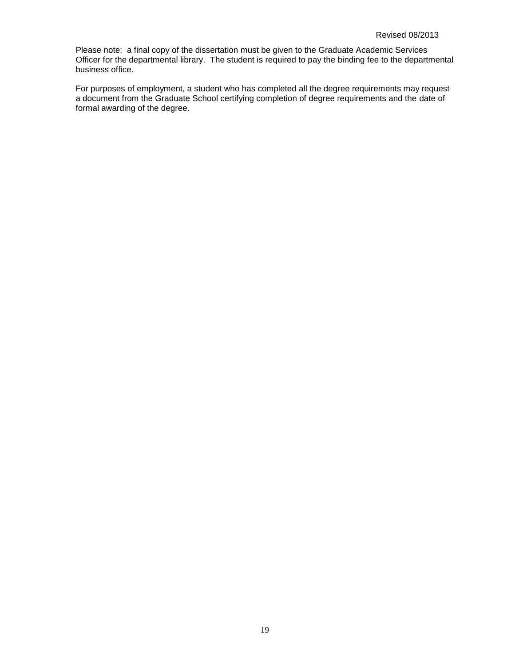Please note: a final copy of the dissertation must be given to the Graduate Academic Services Officer for the departmental library. The student is required to pay the binding fee to the departmental business office.

For purposes of employment, a student who has completed all the degree requirements may request a document from the Graduate School certifying completion of degree requirements and the date of formal awarding of the degree.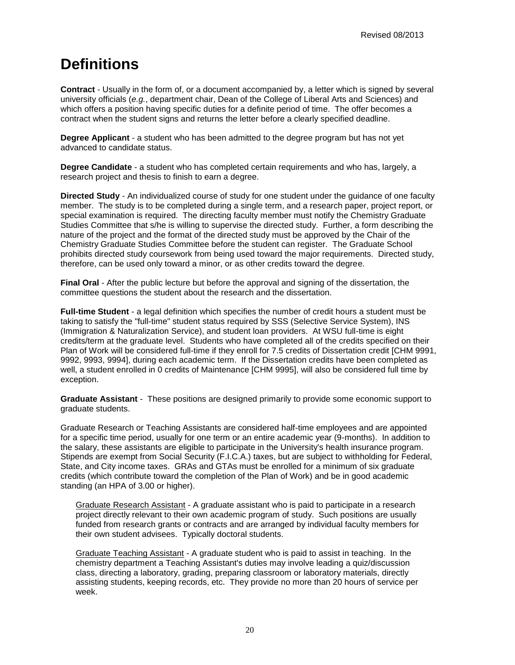## <span id="page-19-0"></span>**Definitions**

**Contract** - Usually in the form of, or a document accompanied by, a letter which is signed by several university officials (*e.g.*, department chair, Dean of the College of Liberal Arts and Sciences) and which offers a position having specific duties for a definite period of time. The offer becomes a contract when the student signs and returns the letter before a clearly specified deadline.

**Degree Applicant** - a student who has been admitted to the degree program but has not yet advanced to candidate status.

**Degree Candidate** - a student who has completed certain requirements and who has, largely, a research project and thesis to finish to earn a degree.

**Directed Study** - An individualized course of study for one student under the guidance of one faculty member. The study is to be completed during a single term, and a research paper, project report, or special examination is required. The directing faculty member must notify the Chemistry Graduate Studies Committee that s/he is willing to supervise the directed study. Further, a form describing the nature of the project and the format of the directed study must be approved by the Chair of the Chemistry Graduate Studies Committee before the student can register. The Graduate School prohibits directed study coursework from being used toward the major requirements. Directed study, therefore, can be used only toward a minor, or as other credits toward the degree.

**Final Oral** - After the public lecture but before the approval and signing of the dissertation, the committee questions the student about the research and the dissertation.

**Full-time Student** - a legal definition which specifies the number of credit hours a student must be taking to satisfy the "full-time" student status required by SSS (Selective Service System), INS (Immigration & Naturalization Service), and student loan providers. At WSU full-time is eight credits/term at the graduate level. Students who have completed all of the credits specified on their Plan of Work will be considered full-time if they enroll for 7.5 credits of Dissertation credit [CHM 9991, 9992, 9993, 9994], during each academic term. If the Dissertation credits have been completed as well, a student enrolled in 0 credits of Maintenance [CHM 9995], will also be considered full time by exception.

**Graduate Assistant** - These positions are designed primarily to provide some economic support to graduate students.

Graduate Research or Teaching Assistants are considered half-time employees and are appointed for a specific time period, usually for one term or an entire academic year (9-months). In addition to the salary, these assistants are eligible to participate in the University's health insurance program. Stipends are exempt from Social Security (F.I.C.A.) taxes, but are subject to withholding for Federal, State, and City income taxes. GRAs and GTAs must be enrolled for a minimum of six graduate credits (which contribute toward the completion of the Plan of Work) and be in good academic standing (an HPA of 3.00 or higher).

Graduate Research Assistant - A graduate assistant who is paid to participate in a research project directly relevant to their own academic program of study. Such positions are usually funded from research grants or contracts and are arranged by individual faculty members for their own student advisees. Typically doctoral students.

Graduate Teaching Assistant - A graduate student who is paid to assist in teaching. In the chemistry department a Teaching Assistant's duties may involve leading a quiz/discussion class, directing a laboratory, grading, preparing classroom or laboratory materials, directly assisting students, keeping records, etc. They provide no more than 20 hours of service per week.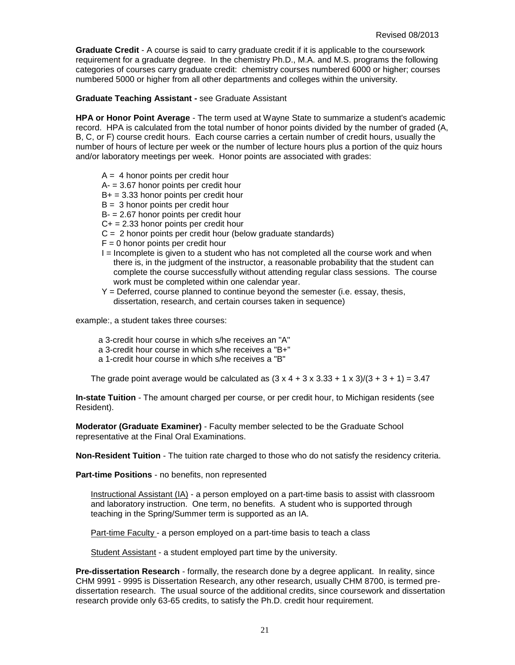**Graduate Credit** - A course is said to carry graduate credit if it is applicable to the coursework requirement for a graduate degree. In the chemistry Ph.D., M.A. and M.S. programs the following categories of courses carry graduate credit: chemistry courses numbered 6000 or higher; courses numbered 5000 or higher from all other departments and colleges within the university.

**Graduate Teaching Assistant -** see Graduate Assistant

**HPA or Honor Point Average** - The term used at Wayne State to summarize a student's academic record. HPA is calculated from the total number of honor points divided by the number of graded (A, B, C, or F) course credit hours. Each course carries a certain number of credit hours, usually the number of hours of lecture per week or the number of lecture hours plus a portion of the quiz hours and/or laboratory meetings per week. Honor points are associated with grades:

- $A = 4$  honor points per credit hour
- $A = 3.67$  honor points per credit hour
- $B+ = 3.33$  honor points per credit hour
- $B = 3$  honor points per credit hour
- B- = 2.67 honor points per credit hour
- $C+=2.33$  honor points per credit hour
- $C = 2$  honor points per credit hour (below graduate standards)
- $F = 0$  honor points per credit hour
- $I =$  Incomplete is given to a student who has not completed all the course work and when there is, in the judgment of the instructor, a reasonable probability that the student can complete the course successfully without attending regular class sessions. The course work must be completed within one calendar year.
- Y = Deferred, course planned to continue beyond the semester (i.e. essay, thesis, dissertation, research, and certain courses taken in sequence)

example:, a student takes three courses:

- a 3-credit hour course in which s/he receives an "A"
- a 3-credit hour course in which s/he receives a "B+"
- a 1-credit hour course in which s/he receives a "B"

The grade point average would be calculated as  $(3 \times 4 + 3 \times 3.33 + 1 \times 3)/(3 + 3 + 1) = 3.47$ 

**In-state Tuition** - The amount charged per course, or per credit hour, to Michigan residents (see Resident).

**Moderator (Graduate Examiner)** - Faculty member selected to be the Graduate School representative at the Final Oral Examinations.

**Non-Resident Tuition** - The tuition rate charged to those who do not satisfy the residency criteria.

**Part-time Positions** - no benefits, non represented

Instructional Assistant (IA) - a person employed on a part-time basis to assist with classroom and laboratory instruction. One term, no benefits. A student who is supported through teaching in the Spring/Summer term is supported as an IA.

Part-time Faculty - a person employed on a part-time basis to teach a class

Student Assistant - a student employed part time by the university.

**Pre-dissertation Research** - formally, the research done by a degree applicant. In reality, since CHM 9991 - 9995 is Dissertation Research, any other research, usually CHM 8700, is termed predissertation research. The usual source of the additional credits, since coursework and dissertation research provide only 63-65 credits, to satisfy the Ph.D. credit hour requirement.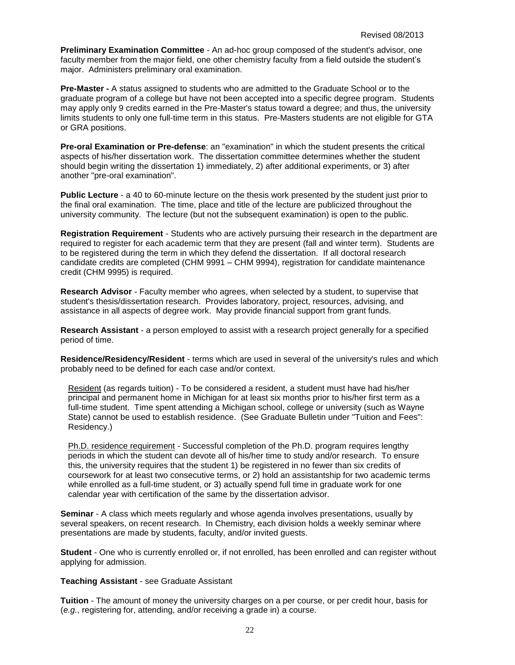**Preliminary Examination Committee** - An ad-hoc group composed of the student's advisor, one faculty member from the major field, one other chemistry faculty from a field outside the student's major. Administers preliminary oral examination.

**Pre-Master -** A status assigned to students who are admitted to the Graduate School or to the graduate program of a college but have not been accepted into a specific degree program. Students may apply only 9 credits earned in the Pre-Master's status toward a degree; and thus, the university limits students to only one full-time term in this status. Pre-Masters students are not eligible for GTA or GRA positions.

**Pre-oral Examination or Pre-defense**: an "examination" in which the student presents the critical aspects of his/her dissertation work. The dissertation committee determines whether the student should begin writing the dissertation 1) immediately, 2) after additional experiments, or 3) after another "pre-oral examination".

**Public Lecture** - a 40 to 60-minute lecture on the thesis work presented by the student just prior to the final oral examination. The time, place and title of the lecture are publicized throughout the university community. The lecture (but not the subsequent examination) is open to the public.

**Registration Requirement** - Students who are actively pursuing their research in the department are required to register for each academic term that they are present (fall and winter term). Students are to be registered during the term in which they defend the dissertation. If all doctoral research candidate credits are completed (CHM 9991 – CHM 9994), registration for candidate maintenance credit (CHM 9995) is required.

**Research Advisor** - Faculty member who agrees, when selected by a student, to supervise that student's thesis/dissertation research. Provides laboratory, project, resources, advising, and assistance in all aspects of degree work. May provide financial support from grant funds.

**Research Assistant** - a person employed to assist with a research project generally for a specified period of time.

**Residence/Residency/Resident** - terms which are used in several of the university's rules and which probably need to be defined for each case and/or context.

Resident (as regards tuition) - To be considered a resident, a student must have had his/her principal and permanent home in Michigan for at least six months prior to his/her first term as a full-time student. Time spent attending a Michigan school, college or university (such as Wayne State) cannot be used to establish residence. (See Graduate Bulletin under "Tuition and Fees": Residency.)

Ph.D. residence requirement - Successful completion of the Ph.D. program requires lengthy periods in which the student can devote all of his/her time to study and/or research. To ensure this, the university requires that the student 1) be registered in no fewer than six credits of coursework for at least two consecutive terms, or 2) hold an assistantship for two academic terms while enrolled as a full-time student, or 3) actually spend full time in graduate work for one calendar year with certification of the same by the dissertation advisor.

**Seminar** - A class which meets regularly and whose agenda involves presentations, usually by several speakers, on recent research. In Chemistry, each division holds a weekly seminar where presentations are made by students, faculty, and/or invited guests.

**Student** - One who is currently enrolled or, if not enrolled, has been enrolled and can register without applying for admission.

#### **Teaching Assistant** - see Graduate Assistant

**Tuition** - The amount of money the university charges on a per course, or per credit hour, basis for (*e.g.*, registering for, attending, and/or receiving a grade in) a course.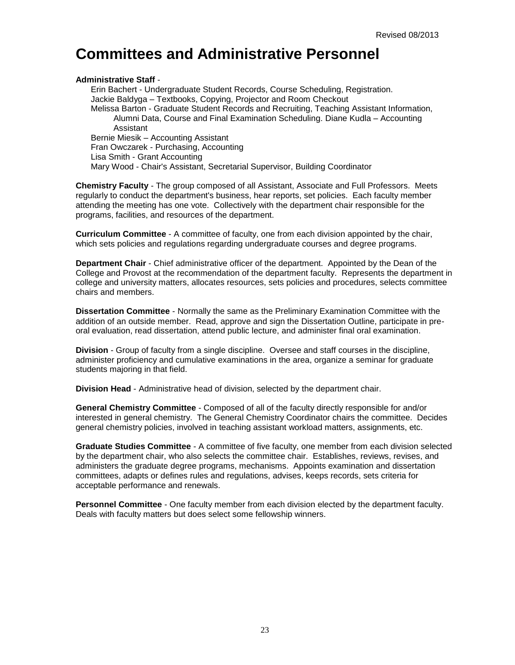## <span id="page-22-0"></span>**Committees and Administrative Personnel**

#### **Administrative Staff** -

Erin Bachert - Undergraduate Student Records, Course Scheduling, Registration. Jackie Baldyga – Textbooks, Copying, Projector and Room Checkout Melissa Barton - Graduate Student Records and Recruiting, Teaching Assistant Information, Alumni Data, Course and Final Examination Scheduling. Diane Kudla – Accounting Assistant Bernie Miesik – Accounting Assistant Fran Owczarek - Purchasing, Accounting Lisa Smith - Grant Accounting Mary Wood - Chair's Assistant, Secretarial Supervisor, Building Coordinator

**Chemistry Faculty** - The group composed of all Assistant, Associate and Full Professors. Meets regularly to conduct the department's business, hear reports, set policies. Each faculty member attending the meeting has one vote. Collectively with the department chair responsible for the programs, facilities, and resources of the department.

**Curriculum Committee** - A committee of faculty, one from each division appointed by the chair, which sets policies and regulations regarding undergraduate courses and degree programs.

**Department Chair** - Chief administrative officer of the department. Appointed by the Dean of the College and Provost at the recommendation of the department faculty. Represents the department in college and university matters, allocates resources, sets policies and procedures, selects committee chairs and members.

**Dissertation Committee** - Normally the same as the Preliminary Examination Committee with the addition of an outside member. Read, approve and sign the Dissertation Outline, participate in preoral evaluation, read dissertation, attend public lecture, and administer final oral examination.

**Division** - Group of faculty from a single discipline. Oversee and staff courses in the discipline, administer proficiency and cumulative examinations in the area, organize a seminar for graduate students majoring in that field.

**Division Head** - Administrative head of division, selected by the department chair.

**General Chemistry Committee** - Composed of all of the faculty directly responsible for and/or interested in general chemistry. The General Chemistry Coordinator chairs the committee. Decides general chemistry policies, involved in teaching assistant workload matters, assignments, etc.

**Graduate Studies Committee** - A committee of five faculty, one member from each division selected by the department chair, who also selects the committee chair. Establishes, reviews, revises, and administers the graduate degree programs, mechanisms. Appoints examination and dissertation committees, adapts or defines rules and regulations, advises, keeps records, sets criteria for acceptable performance and renewals.

**Personnel Committee** - One faculty member from each division elected by the department faculty. Deals with faculty matters but does select some fellowship winners.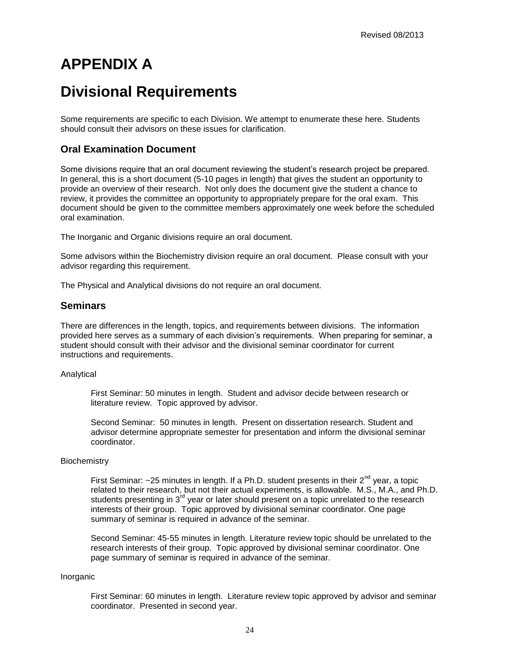## <span id="page-23-0"></span>**APPENDIX A**

## **Divisional Requirements**

Some requirements are specific to each Division. We attempt to enumerate these here. Students should consult their advisors on these issues for clarification.

### <span id="page-23-1"></span>**Oral Examination Document**

Some divisions require that an oral document reviewing the student's research project be prepared. In general, this is a short document (5-10 pages in length) that gives the student an opportunity to provide an overview of their research. Not only does the document give the student a chance to review, it provides the committee an opportunity to appropriately prepare for the oral exam. This document should be given to the committee members approximately one week before the scheduled oral examination.

The Inorganic and Organic divisions require an oral document.

Some advisors within the Biochemistry division require an oral document. Please consult with your advisor regarding this requirement.

The Physical and Analytical divisions do not require an oral document.

#### <span id="page-23-2"></span>**Seminars**

There are differences in the length, topics, and requirements between divisions. The information provided here serves as a summary of each division's requirements. When preparing for seminar, a student should consult with their advisor and the divisional seminar coordinator for current instructions and requirements.

#### Analytical

First Seminar: 50 minutes in length. Student and advisor decide between research or literature review. Topic approved by advisor.

Second Seminar: 50 minutes in length. Present on dissertation research. Student and advisor determine appropriate semester for presentation and inform the divisional seminar coordinator.

#### **Biochemistry**

First Seminar:  $\sim$ 25 minutes in length. If a Ph.D. student presents in their  $2^{nd}$  year, a topic related to their research, but not their actual experiments, is allowable. M.S., M.A., and Ph.D. students presenting in  $3<sup>rd</sup>$  year or later should present on a topic unrelated to the research interests of their group. Topic approved by divisional seminar coordinator. One page summary of seminar is required in advance of the seminar.

Second Seminar: 45-55 minutes in length. Literature review topic should be unrelated to the research interests of their group. Topic approved by divisional seminar coordinator. One page summary of seminar is required in advance of the seminar.

#### Inorganic

First Seminar: 60 minutes in length. Literature review topic approved by advisor and seminar coordinator. Presented in second year.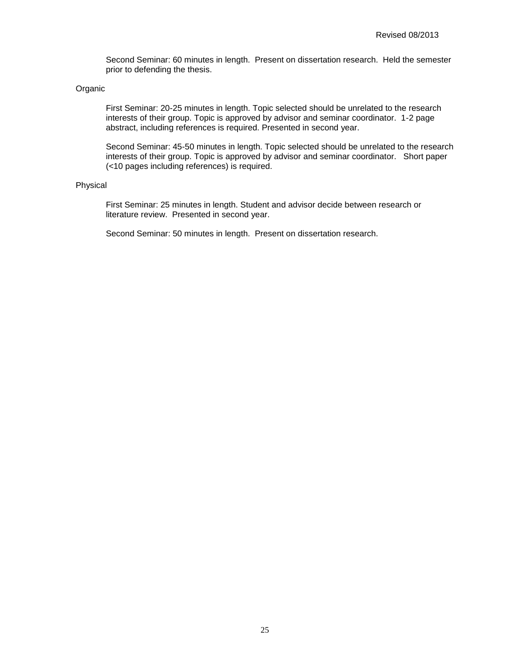Second Seminar: 60 minutes in length. Present on dissertation research. Held the semester prior to defending the thesis.

#### Organic

First Seminar: 20-25 minutes in length. Topic selected should be unrelated to the research interests of their group. Topic is approved by advisor and seminar coordinator. 1-2 page abstract, including references is required. Presented in second year.

Second Seminar: 45-50 minutes in length. Topic selected should be unrelated to the research interests of their group. Topic is approved by advisor and seminar coordinator. Short paper (<10 pages including references) is required.

#### Physical

First Seminar: 25 minutes in length. Student and advisor decide between research or literature review. Presented in second year.

Second Seminar: 50 minutes in length. Present on dissertation research.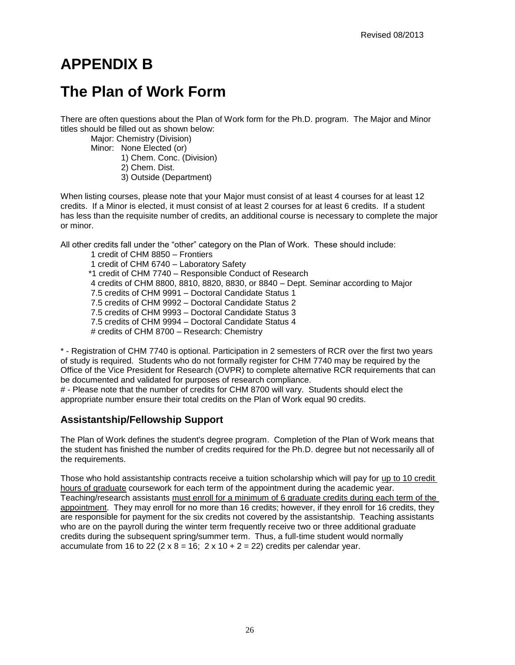## <span id="page-25-0"></span>**APPENDIX B**

## **The Plan of Work Form**

There are often questions about the Plan of Work form for the Ph.D. program. The Major and Minor titles should be filled out as shown below:

Major: Chemistry (Division) Minor: None Elected (or) 1) Chem. Conc. (Division) 2) Chem. Dist. 3) Outside (Department)

When listing courses, please note that your Major must consist of at least 4 courses for at least 12 credits. If a Minor is elected, it must consist of at least 2 courses for at least 6 credits. If a student has less than the requisite number of credits, an additional course is necessary to complete the major or minor.

All other credits fall under the "other" category on the Plan of Work. These should include:

1 credit of CHM 8850 – Frontiers 1 credit of CHM 6740 – Laboratory Safety \*1 credit of CHM 7740 – Responsible Conduct of Research 4 credits of CHM 8800, 8810, 8820, 8830, or 8840 – Dept. Seminar according to Major 7.5 credits of CHM 9991 – Doctoral Candidate Status 1 7.5 credits of CHM 9992 – Doctoral Candidate Status 2 7.5 credits of CHM 9993 – Doctoral Candidate Status 3 7.5 credits of CHM 9994 – Doctoral Candidate Status 4 # credits of CHM 8700 – Research: Chemistry

\* - Registration of CHM 7740 is optional. Participation in 2 semesters of RCR over the first two years of study is required. Students who do not formally register for CHM 7740 may be required by the Office of the Vice President for Research (OVPR) to complete alternative RCR requirements that can be documented and validated for purposes of research compliance.

# - Please note that the number of credits for CHM 8700 will vary. Students should elect the appropriate number ensure their total credits on the Plan of Work equal 90 credits.

### **Assistantship/Fellowship Support**

The Plan of Work defines the student's degree program. Completion of the Plan of Work means that the student has finished the number of credits required for the Ph.D. degree but not necessarily all of the requirements.

Those who hold assistantship contracts receive a tuition scholarship which will pay for up to 10 credit hours of graduate coursework for each term of the appointment during the academic year. Teaching/research assistants must enroll for a minimum of 6 graduate credits during each term of the appointment. They may enroll for no more than 16 credits; however, if they enroll for 16 credits, they are responsible for payment for the six credits not covered by the assistantship. Teaching assistants who are on the payroll during the winter term frequently receive two or three additional graduate credits during the subsequent spring/summer term. Thus, a full-time student would normally accumulate from 16 to 22 ( $2 \times 8 = 16$ ;  $2 \times 10 + 2 = 22$ ) credits per calendar year.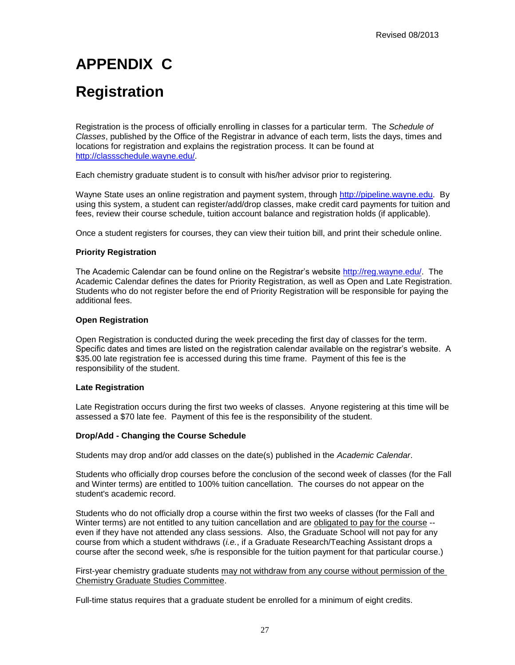## <span id="page-26-0"></span>**APPENDIX C**

## **Registration**

Registration is the process of officially enrolling in classes for a particular term. The *Schedule of Classes*, published by the Office of the Registrar in advance of each term, lists the days, times and locations for registration and explains the registration process. It can be found at [http://classschedule.wayne.edu/.](http://classschedule.wayne.edu/)

Each chemistry graduate student is to consult with his/her advisor prior to registering.

Wayne State uses an online registration and payment system, through [http://pipeline.wayne.edu.](http://pipeline.wayne.edu/) By using this system, a student can register/add/drop classes, make credit card payments for tuition and fees, review their course schedule, tuition account balance and registration holds (if applicable).

Once a student registers for courses, they can view their tuition bill, and print their schedule online.

#### **Priority Registration**

The Academic Calendar can be found online on the Registrar's website [http://reg.wayne.edu/.](http://reg.wayne.edu/) The Academic Calendar defines the dates for Priority Registration, as well as Open and Late Registration. Students who do not register before the end of Priority Registration will be responsible for paying the additional fees.

#### **Open Registration**

Open Registration is conducted during the week preceding the first day of classes for the term. Specific dates and times are listed on the registration calendar available on the registrar's website. A \$35.00 late registration fee is accessed during this time frame. Payment of this fee is the responsibility of the student.

#### **Late Registration**

Late Registration occurs during the first two weeks of classes. Anyone registering at this time will be assessed a \$70 late fee. Payment of this fee is the responsibility of the student.

#### **Drop/Add - Changing the Course Schedule**

Students may drop and/or add classes on the date(s) published in the *Academic Calendar*.

Students who officially drop courses before the conclusion of the second week of classes (for the Fall and Winter terms) are entitled to 100% tuition cancellation. The courses do not appear on the student's academic record.

Students who do not officially drop a course within the first two weeks of classes (for the Fall and Winter terms) are not entitled to any tuition cancellation and are obligated to pay for the course - even if they have not attended any class sessions. Also, the Graduate School will not pay for any course from which a student withdraws (*i.e.*, if a Graduate Research/Teaching Assistant drops a course after the second week, s/he is responsible for the tuition payment for that particular course.)

First-year chemistry graduate students may not withdraw from any course without permission of the Chemistry Graduate Studies Committee.

Full-time status requires that a graduate student be enrolled for a minimum of eight credits.